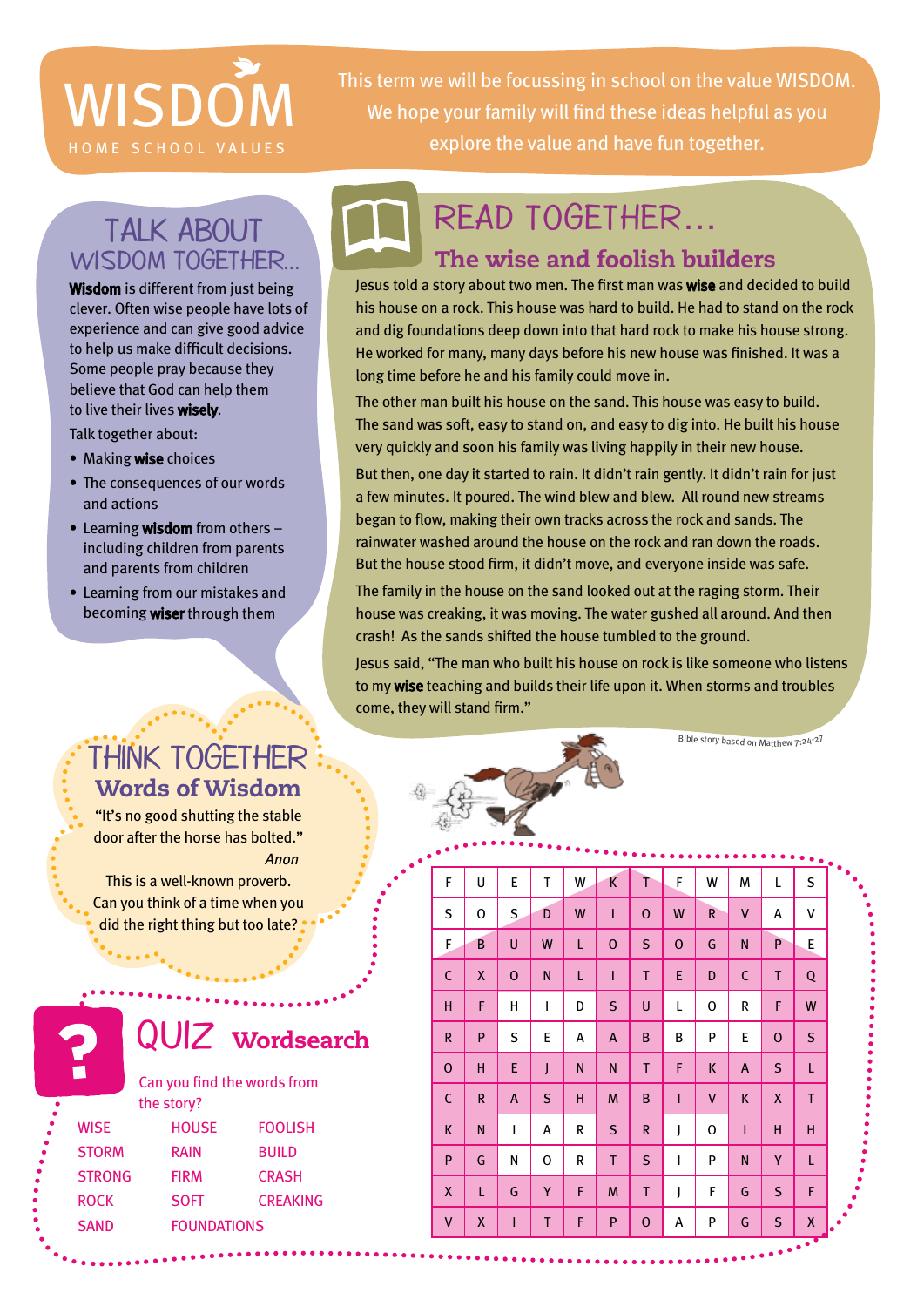# WISDOM

This term we will be focussing in school on the value WISDOM. We hope your family will find these ideas helpful as you HOME SCHOOL VALUES **EXPLORE THE Value and have fun together.** 

#### Talk about WISDOM TOGETHER...

Wisdom is different from just being clever. Often wise people have lots of experience and can give good advice to help us make difficult decisions. Some people pray because they believe that God can help them to live their lives wisely.

Talk together about:

- Making wise choices
- The consequences of our words and actions
- Learning wisdom from others including children from parents and parents from children
- • Learning from our mistakes and becoming wiser through them

#### THINK TOGETHER Words of Wisdom

"It's no good shutting the stable door after the horse has bolted."  *Anon*

This is a well-known proverb. Can you think of a time when you did the right thing but too late?

#### QUIZ wordsearch

|               | Can you find the words from<br>the story? |                 |  |  |  |  |  |  |
|---------------|-------------------------------------------|-----------------|--|--|--|--|--|--|
| WISE          | <b>HOUSE</b>                              | <b>FOOLISH</b>  |  |  |  |  |  |  |
| <b>STORM</b>  | RAIN                                      | <b>BUILD</b>    |  |  |  |  |  |  |
| <b>STRONG</b> | FIRM                                      | <b>CRASH</b>    |  |  |  |  |  |  |
| <b>ROCK</b>   | <b>SOFT</b>                               | <b>CREAKING</b> |  |  |  |  |  |  |
| <b>SAND</b>   | <b>FOUNDATIONS</b>                        |                 |  |  |  |  |  |  |
|               |                                           |                 |  |  |  |  |  |  |



# Read together…

#### The wise and foolish builders

Jesus told a story about two men. The first man was wise and decided to build his house on a rock. This house was hard to build. He had to stand on the rock and dig foundations deep down into that hard rock to make his house strong. He worked for many, many days before his new house was finished. It was a long time before he and his family could move in.

The other man built his house on the sand. This house was easy to build. The sand was soft, easy to stand on, and easy to dig into. He built his house very quickly and soon his family was living happily in their new house.

But then, one day it started to rain. It didn't rain gently. It didn't rain for just a few minutes. It poured. The wind blew and blew. All round new streams began to flow, making their own tracks across the rock and sands. The rainwater washed around the house on the rock and ran down the roads. But the house stood firm, it didn't move, and everyone inside was safe.

The family in the house on the sand looked out at the raging storm. Their house was creaking, it was moving. The water gushed all around. And then crash! As the sands shifted the house tumbled to the ground.

Jesus said, "The man who built his house on rock is like someone who listens to my wise teaching and builds their life upon it. When storms and troubles come, they will stand firm."

<sup>B</sup>ibl<sup>e</sup> <sup>s</sup>tor<sup>y</sup> <sup>b</sup>ase<sup>d</sup> <sup>o</sup><sup>n</sup> <sup>M</sup>atthe<sup>w</sup> <sup>7</sup>:24-2<sup>7</sup>

| F            | U  | E           | T | W | K       | Ť           | F | W | M | L            | S       |  |
|--------------|----|-------------|---|---|---------|-------------|---|---|---|--------------|---------|--|
| S            | 0  | S           | D | W | ı       | $\mathbf 0$ | W | R | ٧ | А            | ٧       |  |
| F            | B  | U           | W | L | 0       | S           | 0 | G | N | P            | E       |  |
| C            | X  | $\mathbf 0$ | N | L | ı       | T           | E | D | C | T            | Q       |  |
| Н            | F  | Н           | ı | D | S       | U           | L | 0 | R | F            | W       |  |
| $\mathsf{R}$ | P  | S           | E | А | A       | B           | B | P | E | 0            | $\sf S$ |  |
| $\mathbf 0$  | H  | E           | J | N | N       | T           | F | К | A | $\sf S$      | L       |  |
| C            | R. | A           | S | Н | M       | B           | I | V | K | X            | T       |  |
| K            | N  | I           | А | R | $\sf S$ | $\mathsf R$ | J | 0 | I | H            | Н       |  |
| P            | G  | N           | 0 | R | T       | S           | ı | P | N | Y            | L       |  |
| X            | L  | G           | Υ | F | M       | T           | J | F | G | $\mathsf{s}$ | F       |  |
| V            | Χ  | ı           | T | F | P       | 0           | А | P | G | $\mathsf{s}$ | X       |  |
|              |    |             |   |   |         |             |   |   |   |              | ٠       |  |